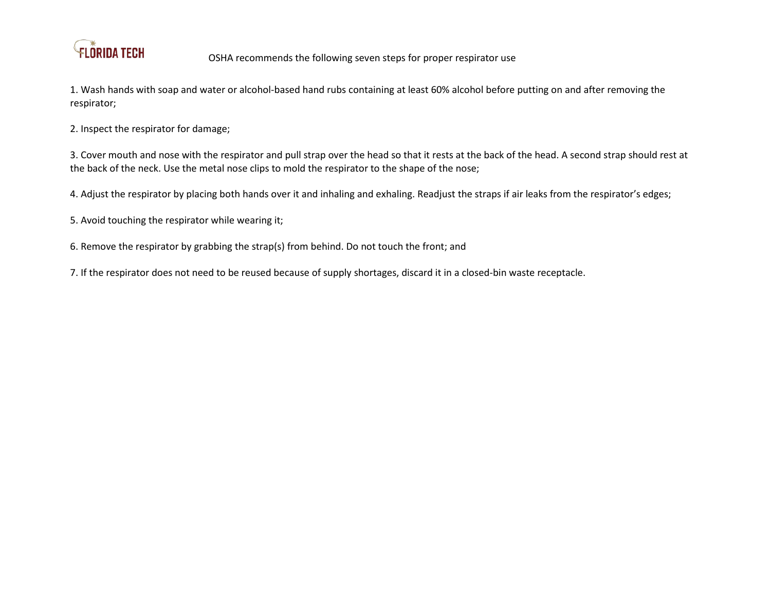

1. Wash hands with soap and water or alcohol-based hand rubs containing at least 60% alcohol before putting on and after removing the respirator;

2. Inspect the respirator for damage;

3. Cover mouth and nose with the respirator and pull strap over the head so that it rests at the back of the head. A second strap should rest at the back of the neck. Use the metal nose clips to mold the respirator to the shape of the nose;

4. Adjust the respirator by placing both hands over it and inhaling and exhaling. Readjust the straps if air leaks from the respirator's edges;

5. Avoid touching the respirator while wearing it;

6. Remove the respirator by grabbing the strap(s) from behind. Do not touch the front; and

7. If the respirator does not need to be reused because of supply shortages, discard it in a closed-bin waste receptacle.